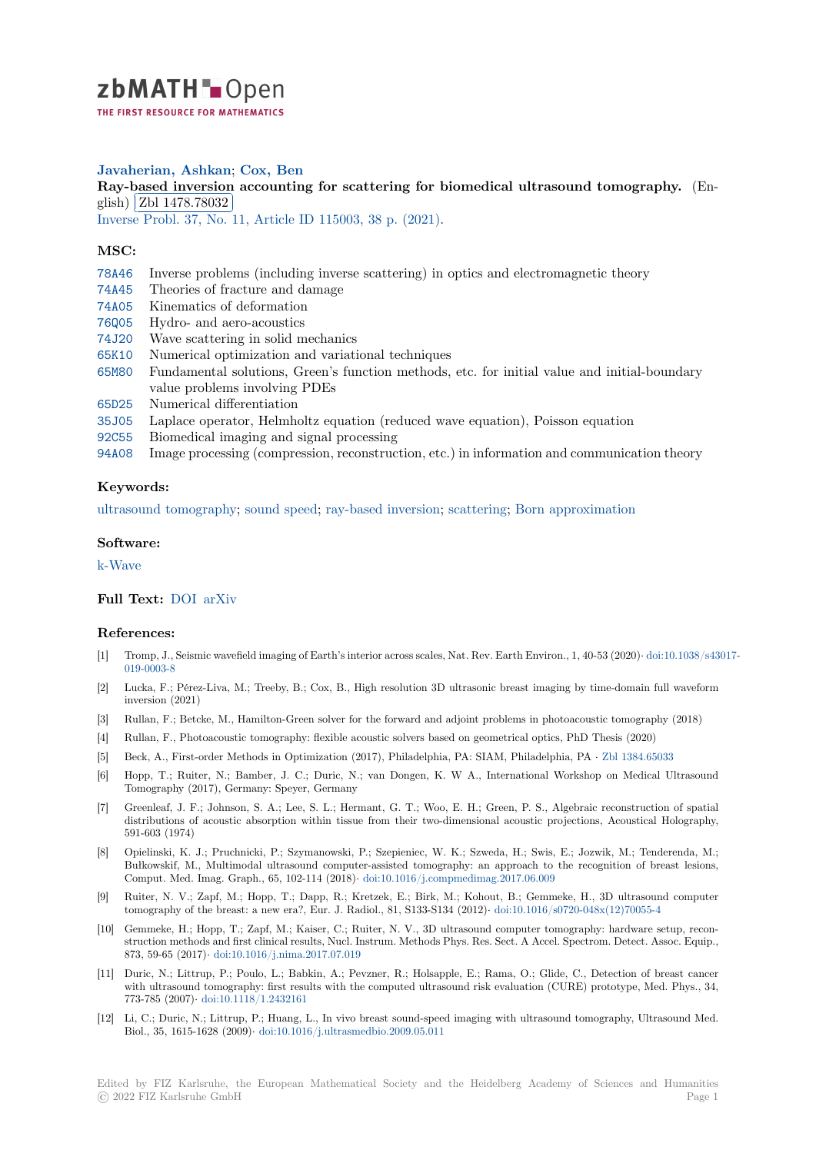

THE FIRST RESOURCE FOR MATHEMATICS

## **Javaherian, Ashkan**; **Cox, Ben**

**[R](https://zbmath.org/)ay-based inversion accounting for scattering for biomedical ultrasound tomography.** (En- **Ray-based Inversion**<br>glish) *Zbl* 1478.78032

✂ ✁ Inverse Probl. 37, No. 11, Article ID 115003, 38 p. (2021).

# **[MSC:](https://zbmath.org/1478.78032)**

- 78A46 [Inverse problem](https://zbmath.org/1478.78032)s (including inverse scattering) in optics and electromagnetic theory
- [74A45](https://zbmath.org/journals/?q=se:112) Theor[ies of fracture and damage](https://zbmath.org/?q=in:472511)
- 74A05 Kinematics of deformation
- 76Q05 Hydro- and aero-acoustics
- [74J20](https://zbmath.org/classification/?q=cc:78A46) Wave scattering in solid mechanics
- [65K10](https://zbmath.org/classification/?q=cc:74A45) Numerical optimization and variational techniques
- [65M80](https://zbmath.org/classification/?q=cc:74A05) Fundamental solutions, Green's function methods, etc. for initial value and initial-boundary value problems involving PDEs
- [65D25](https://zbmath.org/classification/?q=cc:74J20) Numerical differentiation
- [35J05](https://zbmath.org/classification/?q=cc:65K10) Laplace operator, Helmholtz equation (reduced wave equation), Poisson equation
- [92C55](https://zbmath.org/classification/?q=cc:65M80) Biomedical imaging and signal processing
- 94A08 Image processing (compression, reconstruction, etc.) in information and communication theory

## **[Keyw](https://zbmath.org/classification/?q=cc:35J05)ords:**

[ultraso](https://zbmath.org/classification/?q=cc:92C55)und tomography; sound speed; ray-based inversion; scattering; Born approximation

#### **Software:**

[k-Wave](https://zbmath.org/?q=ut:ultrasound+tomography)

## **Full Text:** DOI arXiv

#### **[Refere](https://swmath.org/software/7387)nces:**

- [1] Tromp, J., Seis[mic wavefi](https://arxiv.org/abs/2105.14098)eld imaging of Earth's interior across scales, Nat. Rev. Earth Environ., 1, 40-53 (2020)*·* doi:10.1038/s43017- 019-0003-[8](https://dx.doi.org/10.1088/1361-6420/ac28ed)
- [2] Lucka, F.; Pérez-Liva, M.; Treeby, B.; Cox, B., High resolution 3D ultrasonic breast imaging by time-domain full waveform inversion (2021)
- [3] Rullan, F.; Betcke, M., Hamilton-Green solver for the forward and adjoint problems in photoacoustic tomogr[aphy \(2018\)](https://dx.doi.org/10.1038/s43017-019-0003-8)
- [4] [Rullan, F.,](https://dx.doi.org/10.1038/s43017-019-0003-8) Photoacoustic tomography: flexible acoustic solvers based on geometrical optics, PhD Thesis (2020)
- [5] Beck, A., First-order Methods in Optimization (2017), Philadelphia, PA: SIAM, Philadelphia, PA *·* Zbl 1384.65033
- [6] Hopp, T.; Ruiter, N.; Bamber, J. C.; Duric, N.; van Dongen, K. W A., International Workshop on Medical Ultrasound Tomography (2017), Germany: Speyer, Germany
- [7] Greenleaf, J. F.; Johnson, S. A.; Lee, S. L.; Hermant, G. T.; Woo, E. H.; Green, P. S., Algebraic reconstruction of spatial distributions of acoustic absorption within tissue from their two-dimensional acoustic projections[, Acoustical Ho](https://zbmath.org/1384.65033)lography, 591-603 (1974)
- [8] Opielinski, K. J.; Pruchnicki, P.; Szymanowski, P.; Szepieniec, W. K.; Szweda, H.; Swis, E.; Jozwik, M.; Tenderenda, M.; Bułkowskif, M., Multimodal ultrasound computer-assisted tomography: an approach to the recognition of breast lesions, Comput. Med. Imag. Graph., 65, 102-114 (2018)*·* doi:10.1016/j.compmedimag.2017.06.009
- [9] Ruiter, N. V.; Zapf, M.; Hopp, T.; Dapp, R.; Kretzek, E.; Birk, M.; Kohout, B.; Gemmeke, H., 3D ultrasound computer tomography of the breast: a new era?, Eur. J. Radiol., 81, S133-S134 (2012)*·* doi:10.1016/s0720-048x(12)70055-4
- [10] Gemmeke, H.; Hopp, T.; Zapf, M.; Kaiser, C.; Ruiter, N. V., 3D ultrasound computer tomography: hardware setup, reconstruction methods and first clinical results, Nucl.I[nstrum. Methods Phys. Res. Sect. A Accel](https://dx.doi.org/10.1016/j.compmedimag.2017.06.009). Spectrom. Detect. Assoc. Equip., 873, 59-65 (2017)*·* doi:10.1016/j.nima.2017.07.019
- [11] Duric, N.; Littrup, P.; Poulo, L.; Babkin, A.; Pevzner, R.; Holsapple, E.; R[ama, O.; Glide, C., Detection of b](https://dx.doi.org/10.1016/s0720-048x(12)70055-4)reast cancer with ultrasound tomography: first results with the computed ultrasound risk evaluation (CURE) prototype, Med. Phys., 34, 773-785 (2007)*·* doi:10.1118/1.2432161
- [12] Li, C.; Duric, N.; [Littrup, P.; Huang, L., In vivo b](https://dx.doi.org/10.1016/j.nima.2017.07.019)reast sound-speed imaging with ultrasound tomography, Ultrasound Med. Biol., 35, 1615-1628 (2009)*·* doi:10.1016/j.ultrasmedbio.2009.05.011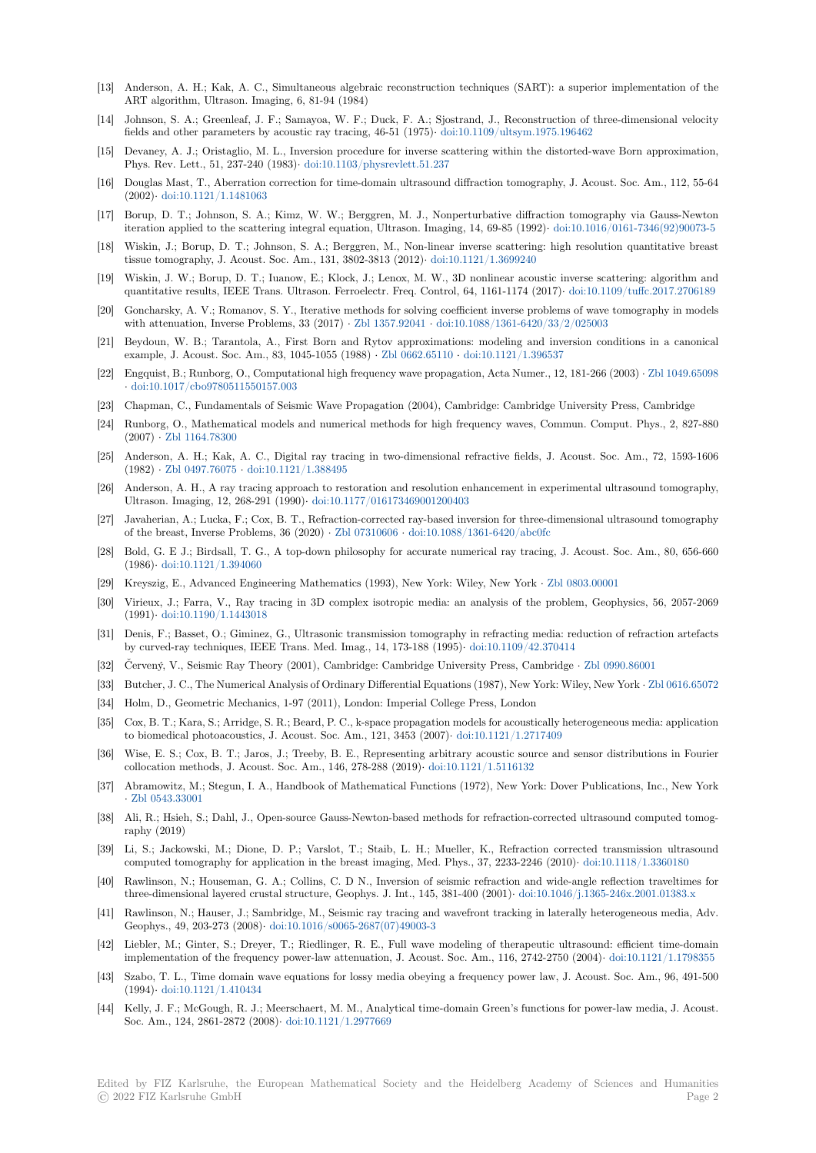- [13] Anderson, A. H.; Kak, A. C., Simultaneous algebraic reconstruction techniques (SART): a superior implementation of the ART algorithm, Ultrason. Imaging, 6, 81-94 (1984)
- [14] Johnson, S. A.; Greenleaf, J. F.; Samayoa, W. F.; Duck, F. A.; Sjostrand, J., Reconstruction of three-dimensional velocity fields and other parameters by acoustic ray tracing, 46-51 (1975)*·* doi:10.1109/ultsym.1975.196462
- [15] Devaney, A. J.; Oristaglio, M. L., Inversion procedure for inverse scattering within the distorted-wave Born approximation, Phys. Rev. Lett., 51, 237-240 (1983)*·* doi:10.1103/physrevlett.51.237
- [16] Douglas Mast, T., Aberration correction for time-domain ultrasound diffraction tomography, J. Acoust. Soc. Am., 112, 55-64 (2002)*·* doi:10.1121/1.1481063
- [17] Borup, D. T.; Johnson, S. A.; Kimz, W. W.; Berggren, M. J., Nonperturbative diffraction tomography via Gauss-Newton iteration applied to the scattering int[egral equation, Ultrason. Imagi](https://dx.doi.org/10.1103/physrevlett.51.237)ng, 14, 69-85 (1992)*·* doi:10.1016/0161-7346(92)90073-5
- [18] Wiskin, J.; Borup, D. T.; Johnson, S. A.; Berggren, M., Non-linear inverse scattering: high resolution quantitative breast tissuet[omography, J. Acoust.](https://dx.doi.org/10.1121/1.1481063) Soc. Am., 131, 3802-3813 (2012)*·* doi:10.1121/1.3699240
- [19] Wiskin, J. W.; Borup, D. T.; Iuanow, E.; Klock, J.; Lenox, M. W., 3D nonlinear acoustic inverse scattering: algorithm and quantitative results, IEEE Trans. Ultrason. Ferroelectr. Freq. Control, 64, 1161-1174 (2017)*·* [doi:10.1109/tuffc.2017.2706189](https://dx.doi.org/10.1016/0161-7346(92)90073-5)
- [20] Goncharsky, A. V.; Romanov, S. Y., Iterative methods for solving coefficient inverse problems of wave tomography in models with attenuation, Inverse Problems, 33 (2017) *·* Zbl 1357.92041 *·* [doi:10.1088/1361-642](https://dx.doi.org/10.1121/1.3699240)0/33/2/025003
- [21] Beydoun, W. B.; Tarantola, A., First Born and Rytov approximations: modeling and inversion conditions in a canonical example, J. Acoust. Soc. Am., 83, 1045-1055 (1988) *·* Zbl 0662.65110 *·* doi:10.1121/1.396537
- [22] Engquist, B.; Runborg, O., Computational high frequency wave propagation, Acta Numer., 12, 181-266 (2003) *·* Zbl 1049.65098 *·* doi:10.1017/cbo9780511550157.003
- [23] Chapman, C., Fundamentals of Seismic Wave Propagation (2004), Cambridge: Cambridge University Press, Cambridge
- [24] Runborg, O., Mathematical models and numerical m[ethods for high](https://zbmath.org/0662.65110)f[requency waves, Comm](https://dx.doi.org/10.1121/1.396537)un. Comput. Phys., 2, 827-880 (2007) *·* Zbl 1164.78300
- [25] [Anderson, A. H.; Kak, A. C., Digit](https://dx.doi.org/10.1017/cbo9780511550157.003)al ray tracing in two-dimensional refractive fields, J. Acoust. Soc. Am., 72, 1593-1606 (1982) *·* Zbl 0497.76075 *·* doi:10.1121/1.388495
- [26] Anderson, A. H., A ray tracing approach to restoration and resolution enhancement in experimental ultrasound tomography, Ultrason[. Imaging, 12, 2](https://zbmath.org/1164.78300)68-291 (1990)*·* doi:10.1177/016173469001200403
- [27] Javaherian, A.; Lucka, F.; Cox, B. T., Refraction-corrected ray-based inversion for three-dimensional ultrasound tomography of the b[reast, Inverse Pr](https://zbmath.org/0497.76075)o[blems, 36 \(2020\)](https://dx.doi.org/10.1121/1.388495) *·* Zbl 07310606 *·* doi:10.1088/1361-6420/abc0fc
- [28] Bold, G. E J.; Birdsall, T. G., A top-down philosophy for accurate numerical ray tracing, J. Acoust. Soc. Am., 80, 656-660 (1986)*·* doi:10.1121/1.394060
- [29] Kreyszig, E., Advanced Engineering Mathematics (1993), New York: Wiley, New York *·* Zbl 0803.00001
- [30] Virieux, J.; Farra, V., Ray tracing in 3Dc[omplex isotro](https://zbmath.org/07310606)p[ic media: an analysis of the p](https://dx.doi.org/10.1088/1361-6420/abc0fc)roblem, Geophysics, 56, 2057-2069 (1991)*·* doi:10.1190/1.1443018
- [31] Denis, [F.; Basset, O.; Gimine](https://dx.doi.org/10.1121/1.394060)z, G., Ultrasonic transmission tomography in refracting media: reduction of refraction artefacts by curved-ray techniques, IEEE Trans. Med. Imag., 14, 173-188 (1995)*·* doi:10.1109/42.[370414](https://zbmath.org/0803.00001)
- [32] Červený, V., Seismic Ray Theory (2001), Cambridge: Cambridge University Press, Cambridge *·* Zbl 0990.86001
- [33] Butche[r, J. C., The Numerical](https://dx.doi.org/10.1190/1.1443018) Analysis of Ordinary Differential Equations (1987), New York: Wiley, New York *·* Zbl 0616.65072
- [34] Holm, D., Geometric Mechanics, 1-97 (2011), London: Imperial College Press, London
- [35] Cox, B. T.; Kara, S.; Arridge, S. R.; Beard, P. C., k-space propagation mo[dels for acoustically het](https://dx.doi.org/10.1109/42.370414)e[rogeneous media](https://zbmath.org/0990.86001): application to biomedical photoacoustics, J. Acoust. Soc. Am., 121, 3453 (2007)*·* doi:10.1121/1.2717409
- [36] Wise, E. S.; Cox, B. T.; Jaros, J.; Treeby, B. E., Representing arbitrary acoustic source and sensor distribu[tions in Fourier](https://zbmath.org/0616.65072) collocation methods, J. Acoust. Soc. Am., 146, 278-288 (2019)*·* doi:10.1121/1.5116132
- [37] Abramowitz, M.; Stegun, I. A., Handbook of Mathematical Functions (1972), New York: Dover Publications, Inc., New York *·* Zbl 0543.33001
- [38] Ali, R.; Hsieh, S.; Dahl, J., Open-source Gauss-Newton-based methods for refraction-corrected ultrasound computed tomography (2019)
- [39] Li, S.; Jackowski, M.; Dione, D. P.; Varslot, T.; Staib, L. H.; Mueller, K., Refraction corrected transmission ultrasound c[omputed tomog](https://zbmath.org/0543.33001)raphy for application in the breast imaging, Med. Phys., 37, 2233-2246 (2010)*·* doi:10.1118/1.3360180
- [40] Rawlinson, N.; Houseman, G. A.; Collins, C. D N., Inversion of seismic refraction and wide-angle reflection traveltimes for three-dimensional layered crustal structure, Geophys. J. Int., 145, 381-400 (2001)*·* doi:10.1046/j.1365-246x.2001.01383.x
- [41] Rawlinson, N.; Hauser, J.; Sambridge, M., Seismic ray tracing and wavefront tracking in laterally heterogeneous media, Adv. Geophys., 49, 203-273 (2008)*·* doi:10.1016/s0065-2687(07)49003-3
- [42] Liebler, M.; Ginter, S.; Dreyer, T.; Riedlinger, R. E., Full wave modeling of therapeutic ultrasound: efficient time-domain implementation of the frequency power-law attenuation, J. Acoust. Soc. Am., 116, 2742-2750 (2004)*·* [doi:10.1121/1.1798](https://dx.doi.org/10.1046/j.1365-246x.2001.01383.x)355
- [43] Szabo, T. L., Time domain wave equations for lossy media obeying a frequency power law, J. Acoust. Soc. Am., 96, 491-500 (1994)*·* doi:10.1121/1.410434
- [44] Kelly, J. F.; McGough, R. J.; Meerschaert, M. M., Analytical time-domain Green's functions for power-law media, J. Acoust. Soc. Am., 124, 2861-2872 (2008)*·* doi:10.1121/1.2977669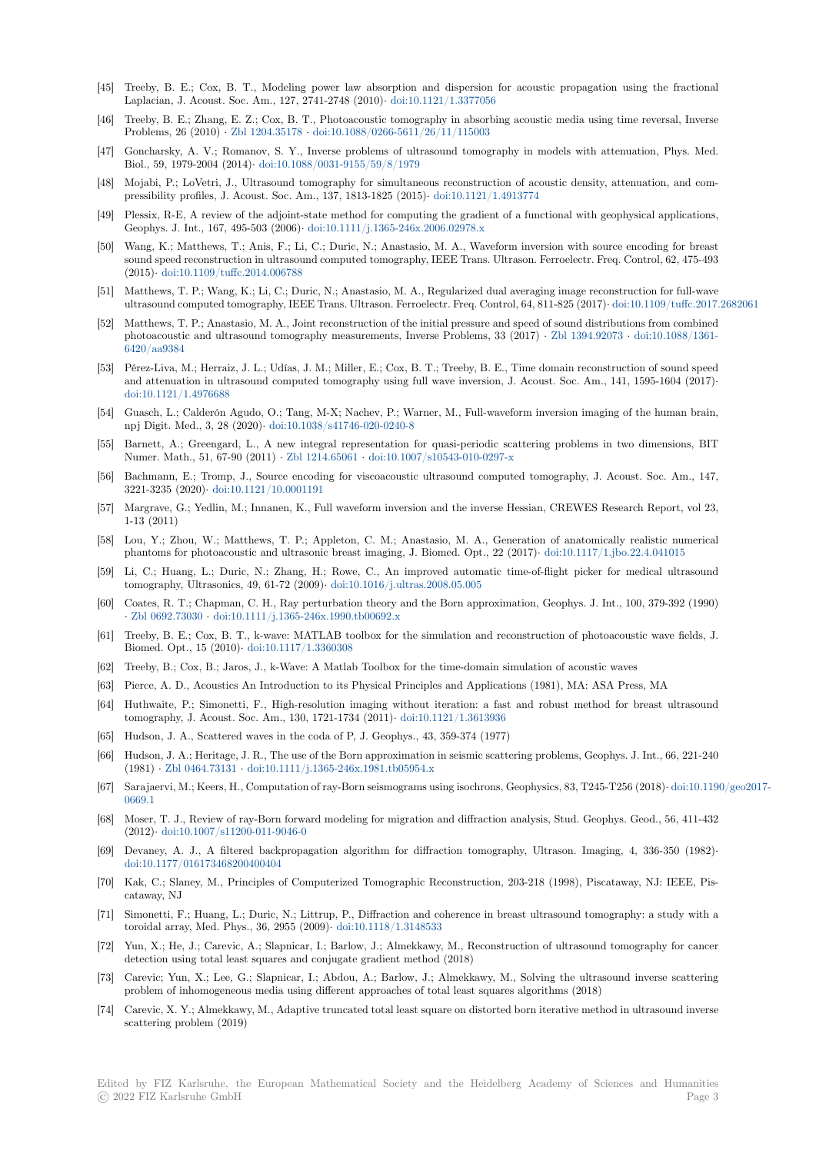- [45] Treeby, B. E.; Cox, B. T., Modeling power law absorption and dispersion for acoustic propagation using the fractional Laplacian, J. Acoust. Soc. Am., 127, 2741-2748 (2010)*·* doi:10.1121/1.3377056
- [46] Treeby, B. E.; Zhang, E. Z.; Cox, B. T., Photoacoustic tomography in absorbing acoustic media using time reversal, Inverse Problems, 26 (2010) *·* Zbl 1204.35178 *·* doi:10.1088/0266-5611/26/11/115003
- [47] Goncharsky, A. V.; Romanov, S. Y., Inverse problems of ultrasound tomography in models with attenuation, Phys. Med. Biol., 59, 1979-2004 (2014)*·* doi:10.1088/0031-9155/59/[8/1979](https://dx.doi.org/10.1121/1.3377056)
- [48] Mojabi, P.; LoVetri, J., Ultrasound tomography for simultaneous reconstruction of acoustic density, attenuation, and compressibility profiles, J. [Acoust. Soc. A](https://zbmath.org/1204.35178)[m., 137, 1813-1825 \(2015\)](https://dx.doi.org/10.1088/0266-5611/26/11/115003)*·* doi:10.1121/1.4913774
- [49] Plessix, R-E, A review of the adjoint-state method for computing the gradient of a functional with geophysical applications, Geophys. J. Int., 167, 495-503 (2006)*·* [doi:10.1111/j.1365-246x](https://dx.doi.org/10.1088/0031-9155/59/8/1979).2006.02978.x
- [50] Wang, K.; Matthews, T.; Anis, F.; Li, C.; Duric, N.; Anastasio, M. A., Waveform inversion with source encoding for breast sound speed reconstruction in ultrasound computed tomography, [IEEE Trans. Ultrason.](https://dx.doi.org/10.1121/1.4913774) Ferroelectr. Freq. Control, 62, 475-493 (2015)*·* doi:10.1109/tuffc.2014.006788
- [51] Matthews, T. P.; Wang, K.; Li, C.; Du[ric, N.; Anastasio, M. A., Regularized](https://dx.doi.org/10.1111/j.1365-246x.2006.02978.x) dual averaging image reconstruction for full-wave ultrasound computed tomography, IEEE Trans. Ultrason. Ferroelectr. Freq. Control, 64, 811-825 (2017)*·* doi:10.1109/tuffc.2017.2682061
- [52] Matthews, T. P.; Anastasio, M. A., Joint reconstruction of the initial pressure and speed of sound distributions from combined photoa[coustic and ultrasound tomogr](https://dx.doi.org/10.1109/tuffc.2014.006788)aphy measurements, Inverse Problems, 33 (2017) *·* Zbl 1394.92073 *·* doi:10.1088/1361- 6420/aa9384
- [53] Pérez-Liva, M.; Herraiz, J. L.; Udías, J. M.; Miller, E.; Cox, B. T.; Treeby, B. E., Time domain reconst[ruction of sound speed](https://dx.doi.org/10.1109/tuffc.2017.2682061) and attenuation in ultrasound computed tomography using full wave inversion, J. Acoust. Soc. Am., 141, 1595-1604 (2017)*·* doi:10.1121/1.4976688
- [54] [Guasch, L.; C](https://dx.doi.org/10.1088/1361-6420/aa9384)alderón Agudo, O.; Tang, M-X; Nachev, P.; Warner, M., Full-waveform inv[ersion imaging o](https://zbmath.org/1394.92073)f [the human brain,](https://dx.doi.org/10.1088/1361-6420/aa9384) npj Digit. Med., 3, 28 (2020)*·* doi:10.1038/s41746-020-0240-8
- [55] Barnett, A.; Greengard, L., A new integral representation for quasi-periodic scattering problems in two dimensions, BIT [Numer. Math., 51, 67-](https://dx.doi.org/10.1121/1.4976688)90 (2011) *·* Zbl 1214.65061 *·* doi:10.1007/s10543-010-0297-x
- [56] Bachmann, E.; Tromp, J., Source encoding for viscoacoustic ultrasound computed tomography, J. Acoust. Soc. Am., 147, 3221-3235 (2020)*·* doi:10.1121[/10.0001191](https://dx.doi.org/10.1038/s41746-020-0240-8)
- [57] Margrave, G.; Yedlin, M.; Innanen, K., Full waveform inversion and the inverse Hessian, CREWES Research Report, vol 23, 1-13 (2011)
- [58] Lou, Y.; Zhou, W.; Matthews, T. P.; Appleton, C. M.; Anastasio, M. A., Generation of anatomically realistic numerical phantoms for pho[toacoustic and ultrasoni](https://dx.doi.org/10.1121/10.0001191)c breast imaging, J. Biomed. Opt., 22 (2017)*·* doi:10.1117/1.jbo.22.4.041015
- [59] Li, C.; Huang, L.; Duric, N.; Zhang, H.; Rowe, C., An improved automatic time-of-flight picker for medical ultrasound tomography, Ultrasonics, 49, 61-72 (2009)*·* doi:10.1016/j.ultras.2008.05.005
- [60] Coates, R. T.; Chapman, C. H., Ray perturbation theory and the Born approximation, Geophys. J. Int., 100, 379-392 (1990) *·* Zbl 0692.73030 *·* doi:10.1111/j.1365-246x.1990.tb00692.x
- [61] Treeby, B. E.; Cox, B. T., k-wave: MATLAB toolbox for the simulation and reconstruction of photoacoustic wave fields, J. Biomed. Opt., 15 (2010)*·* doi:10.1117/1.33[60308](https://dx.doi.org/10.1016/j.ultras.2008.05.005)
- [62] Treeby, B.; Cox, B.; Jaros, J., k-Wave: A Matlab Toolbox for the time-domain simulation of acoustic waves
- [63] [Pierce, A. D., Ac](https://zbmath.org/0692.73030)o[ustics An Introduction to its Physical P](https://dx.doi.org/10.1111/j.1365-246x.1990.tb00692.x)rinciples and Applications (1981), MA: ASA Press, MA
- [64] Huthwaite, P.; Simonetti, F., High-resolution imaging without iteration: a fast and robust method for breast ultrasound tomography, J. Acoust. S[oc. Am., 130, 1721-173](https://dx.doi.org/10.1117/1.3360308)4 (2011)*·* doi:10.1121/1.3613936
- [65] Hudson, J. A., Scattered waves in the coda of P, J. Geophys., 43, 359-374 (1977)
- [66] Hudson, J. A.; Heritage, J. R., The use of the Born approximation in seismic scattering problems, Geophys. J. Int., 66, 221-240 (1981) *·* Zbl 0464.73131 *·* doi:10.1111/j.1365-246x.1981.tb05954.x
- [67] Sarajaervi, M.; Keers, H., Computation of ray-Born seismo[grams using isochrons,](https://dx.doi.org/10.1121/1.3613936) Geophysics, 83, T245-T256 (2018)*·* doi:10.1190/geo2017- 0669.1
- [68] Moser, T. J., Review of ray-Born forward modeling for migration and diffraction analysis, Stud. Geophys. Geod., 56, 411-432 (2012)*·* [doi:10.1007/s112](https://zbmath.org/0464.73131)0[0-011-9046-0](https://dx.doi.org/10.1111/j.1365-246x.1981.tb05954.x)
- [69] Devaney, A. J., A filtered backpropagation algorithm for diffraction tomography, Ultrason. Imaging, 4, 336-3[50 \(1982\)](https://dx.doi.org/10.1190/geo2017-0669.1)*·* [doi:10.](https://dx.doi.org/10.1190/geo2017-0669.1)1177/016173468200400404
- [70] Kak, C.; Slaney, M., Principles of Computerized Tomographic Reconstruction, 203-218 (1998), Piscataway, NJ: IEEE, Piscatawa[y, NJ](https://dx.doi.org/10.1007/s11200-011-9046-0)
- [71] Simonetti, F.; Huang, L.; Duric, N.; Littrup, P., Diffraction and coherence in breast ultrasound tomography: a study with a [toroidal array, Med. Phys., 36, 29](https://dx.doi.org/10.1177/016173468200400404)55 (2009)*·* doi:10.1118/1.3148533
- [72] Yun, X.; He, J.; Carevic, A.; Slapnicar, I.; Barlow, J.; Almekkawy, M., Reconstruction of ultrasound tomography for cancer detection using total least squares and conjugate gradient method (2018)
- [73] Carevic; Yun, X.; Lee, G.; Slapnicar, I.; Abdou, A.; Barlow, J.; Almekkawy, M., Solving the ultrasound inverse scattering problem of inhomogeneous media using diffe[rent approaches of tota](https://dx.doi.org/10.1118/1.3148533)l least squares algorithms (2018)
- [74] Carevic, X. Y.; Almekkawy, M., Adaptive truncated total least square on distorted born iterative method in ultrasound inverse scattering problem (2019)